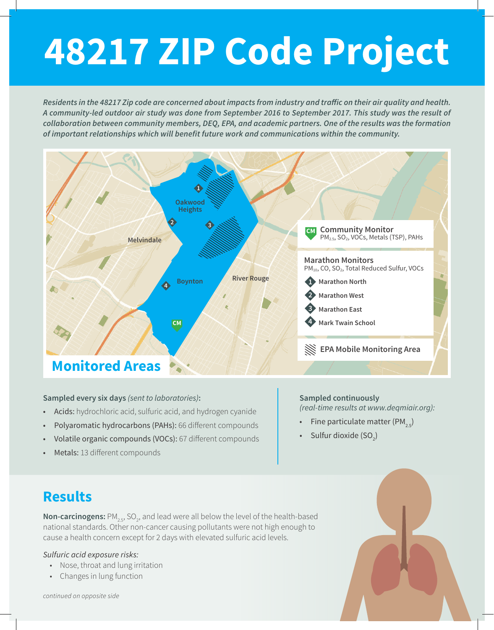# **48217 ZIP Code Project**

*Residents in the 48217 Zip code are concerned about impacts from industry and traffic on their air quality and health. A community-led outdoor air study was done from September 2016 to September 2017. This study was the result of collaboration between community members, DEQ, EPA, and academic partners. One of the results was the formation of important relationships which will benefit future work and communications within the community.* 



### **Sampled every six days** *(sent to laboratories)***:**

- Acids: hydrochloric acid, sulfuric acid, and hydrogen cyanide
- Polyaromatic hydrocarbons (PAHs): 66 different compounds
- Volatile organic compounds (VOCs): 67 different compounds
- Metals: 13 different compounds

**Sampled continuously**

*(real-time results at www.deqmiair.org):*

- Fine particulate matter (PM<sub>2.5</sub>)
- Sulfur dioxide  $(SO_2)$

## **Results**

**Non-carcinogens:** PM<sub>2.5</sub>, SO<sub>2</sub>, and lead were all below the level of the health-based national standards. Other non-cancer causing pollutants were not high enough to cause a health concern except for 2 days with elevated sulfuric acid levels.

#### *Sulfuric acid exposure risks:*

- Nose, throat and lung irritation
- Changes in lung function



*continued on opposite side*